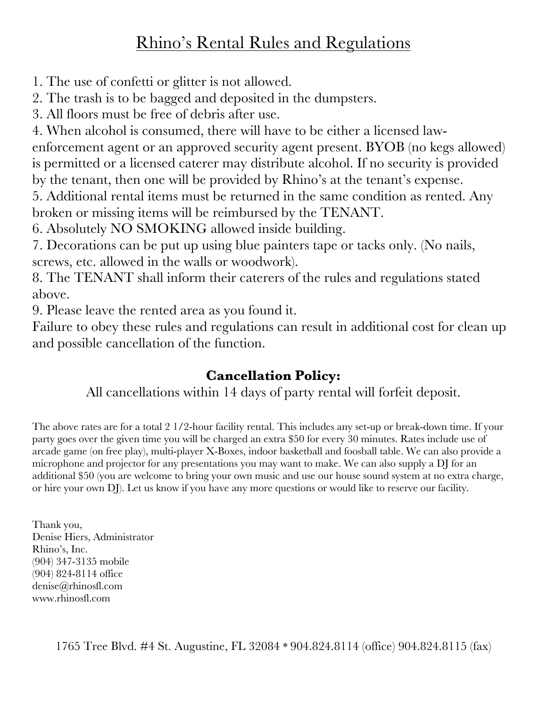## Rhino's Rental Rules and Regulations

1. The use of confetti or glitter is not allowed.

2. The trash is to be bagged and deposited in the dumpsters.

3. All floors must be free of debris after use.

4. When alcohol is consumed, there will have to be either a licensed law-

enforcement agent or an approved security agent present. BYOB (no kegs allowed) is permitted or a licensed caterer may distribute alcohol. If no security is provided by the tenant, then one will be provided by Rhino's at the tenant's expense.

5. Additional rental items must be returned in the same condition as rented. Any broken or missing items will be reimbursed by the TENANT.

6. Absolutely NO SMOKING allowed inside building.

7. Decorations can be put up using blue painters tape or tacks only. (No nails, screws, etc. allowed in the walls or woodwork).

8. The TENANT shall inform their caterers of the rules and regulations stated above.

9. Please leave the rented area as you found it.

Failure to obey these rules and regulations can result in additional cost for clean up and possible cancellation of the function.

## **Cancellation Policy:**

All cancellations within 14 days of party rental will forfeit deposit.

The above rates are for a total 2 1/2-hour facility rental. This includes any set-up or break-down time. If your party goes over the given time you will be charged an extra \$50 for every 30 minutes. Rates include use of arcade game (on free play), multi‐player X‐Boxes, indoor basketball and foosball table. We can also provide a microphone and projector for any presentations you may want to make. We can also supply a DJ for an additional \$50 (you are welcome to bring your own music and use our house sound system at no extra charge, or hire your own DJ). Let us know if you have any more questions or would like to reserve our facility.

Thank you, Denise Hiers, Administrator Rhino's, Inc. (904) 347‐3135 mobile (904) 824‐8114 office denise@rhinosfl.com www.rhinosfl.com

1765 Tree Blvd. #4 St. Augustine, FL 32084 \* 904.824.8114 (office) 904.824.8115 (fax)